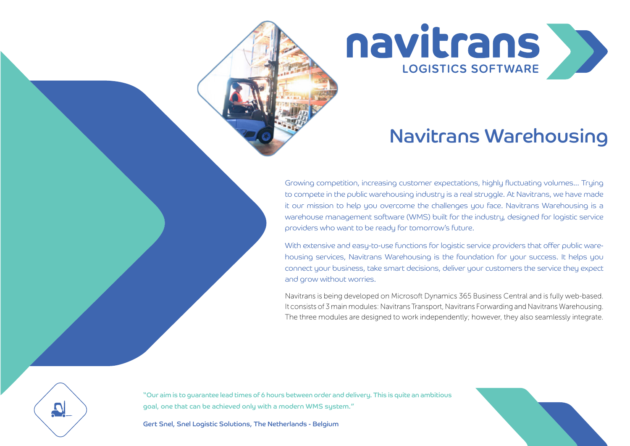navitrans **LOGISTICS SOFTWARE** 

## Navitrans Warehousing

Growing competition, increasing customer expectations, highly fluctuating volumes... Trying to compete in the public warehousing industry is a real struggle. At Navitrans, we have made it our mission to help you overcome the challenges you face. Navitrans Warehousing is a warehouse management software (WMS) built for the industry, designed for logistic service providers who want to be ready for tomorrow's future.

With extensive and easy-to-use functions for logistic service providers that offer public warehousing services, Navitrans Warehousing is the foundation for your success. It helps you connect your business, take smart decisions, deliver your customers the service they expect and grow without worries.

Navitrans is being developed on Microsoft Dynamics 365 Business Central and is fully web-based. It consists of 3 main modules: Navitrans Transport, Navitrans Forwarding and Navitrans Warehousing. The three modules are designed to work independently; however, they also seamlessly integrate.

"Our aim is to guarantee lead times of 6 hours between order and delivery. This is quite an ambitious goal, one that can be achieved only with a modern WMS system."

Gert Snel, Snel Logistic Solutions, The Netherlands - Belgium